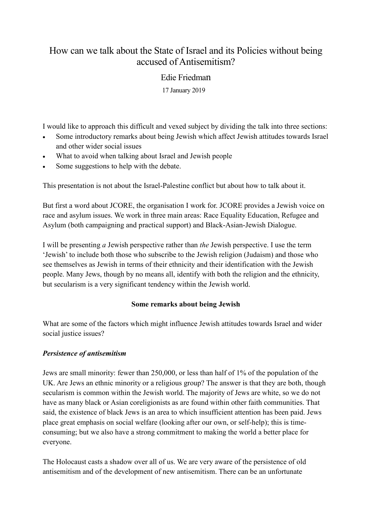# How can we talk about the State of Israel and its Policies without being accused of Antisemitism?

## Edie Friedman

17 January 2019

I would like to approach this difficult and vexed subject by dividing the talk into three sections:

- Some introductory remarks about being Jewish which affect Jewish attitudes towards Israel and other wider social issues
- What to avoid when talking about Israel and Jewish people
- Some suggestions to help with the debate.

This presentation is not about the Israel-Palestine conflict but about how to talk about it.

But first a word about JCORE, the organisation I work for. JCORE provides a Jewish voice on race and asylum issues. We work in three main areas: Race Equality Education, Refugee and Asylum (both campaigning and practical support) and Black-Asian-Jewish Dialogue.

I will be presenting *a* Jewish perspective rather than *the* Jewish perspective. I use the term 'Jewish' to include both those who subscribe to the Jewish religion (Judaism) and those who see themselves as Jewish in terms of their ethnicity and their identification with the Jewish people. Many Jews, though by no means all, identify with both the religion and the ethnicity, but secularism is a very significant tendency within the Jewish world.

### **Some remarks about being Jewish**

What are some of the factors which might influence Jewish attitudes towards Israel and wider social justice issues?

### *Persistence of antisemitism*

Jews are small minority: fewer than 250,000, or less than half of 1% of the population of the UK. Are Jews an ethnic minority or a religious group? The answer is that they are both, though secularism is common within the Jewish world. The majority of Jews are white, so we do not have as many black or Asian coreligionists as are found within other faith communities. That said, the existence of black Jews is an area to which insufficient attention has been paid. Jews place great emphasis on social welfare (looking after our own, or self-help); this is timeconsuming; but we also have a strong commitment to making the world a better place for everyone.

The Holocaust casts a shadow over all of us. We are very aware of the persistence of old antisemitism and of the development of new antisemitism. There can be an unfortunate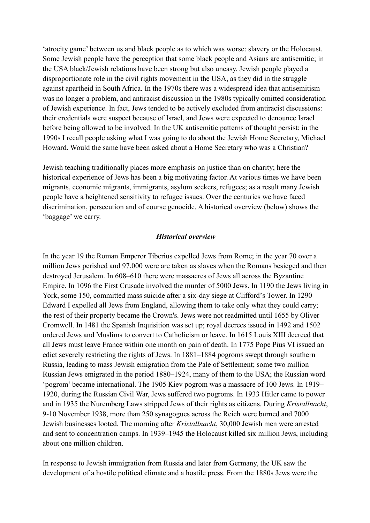'atrocity game' between us and black people as to which was worse: slavery or the Holocaust. Some Jewish people have the perception that some black people and Asians are antisemitic; in the USA black/Jewish relations have been strong but also uneasy. Jewish people played a disproportionate role in the civil rights movement in the USA, as they did in the struggle against apartheid in South Africa. In the 1970s there was a widespread idea that antisemitism was no longer a problem, and antiracist discussion in the 1980s typically omitted consideration of Jewish experience. In fact, Jews tended to be actively excluded from antiracist discussions: their credentials were suspect because of Israel, and Jews were expected to denounce Israel before being allowed to be involved. In the UK antisemitic patterns of thought persist: in the 1990s I recall people asking what I was going to do about the Jewish Home Secretary, Michael Howard. Would the same have been asked about a Home Secretary who was a Christian?

Jewish teaching traditionally places more emphasis on justice than on charity; here the historical experience of Jews has been a big motivating factor. At various times we have been migrants, economic migrants, immigrants, asylum seekers, refugees; as a result many Jewish people have a heightened sensitivity to refugee issues. Over the centuries we have faced discrimination, persecution and of course genocide. A historical overview (below) shows the 'baggage' we carry.

#### *Historical overview*

In the year 19 the Roman Emperor Tiberius expelled Jews from Rome; in the year 70 over a million Jews perished and 97,000 were are taken as slaves when the Romans besieged and then destroyed Jerusalem. In 608–610 there were massacres of Jews all across the Byzantine Empire. In 1096 the First Crusade involved the murder of 5000 Jews. In 1190 the Jews living in York, some 150, committed mass suicide after a six-day siege at Clifford's Tower. In 1290 Edward I expelled all Jews from England, allowing them to take only what they could carry; the rest of their property became the Crown's. Jews were not readmitted until 1655 by Oliver Cromwell. In 1481 the Spanish Inquisition was set up; royal decrees issued in 1492 and 1502 ordered Jews and Muslims to convert to Catholicism or leave. In 1615 Louis XIII decreed that all Jews must leave France within one month on pain of death. In 1775 Pope Pius VI issued an edict severely restricting the rights of Jews. In 1881–1884 pogroms swept through southern Russia, leading to mass Jewish emigration from the Pale of Settlement; some two million Russian Jews emigrated in the period 1880–1924, many of them to the USA; the Russian word 'pogrom' became international. The 1905 Kiev pogrom was a massacre of 100 Jews. In 1919– 1920, during the Russian Civil War, Jews suffered two pogroms. In 1933 Hitler came to power and in 1935 the Nuremberg Laws stripped Jews of their rights as citizens. During *Kristallnacht*, 9-10 November 1938, more than 250 synagogues across the Reich were burned and 7000 Jewish businesses looted. The morning after *Kristallnacht*, 30,000 Jewish men were arrested and sent to concentration camps. In 1939–1945 the Holocaust killed six million Jews, including about one million children.

In response to Jewish immigration from Russia and later from Germany, the UK saw the development of a hostile political climate and a hostile press. From the 1880s Jews were the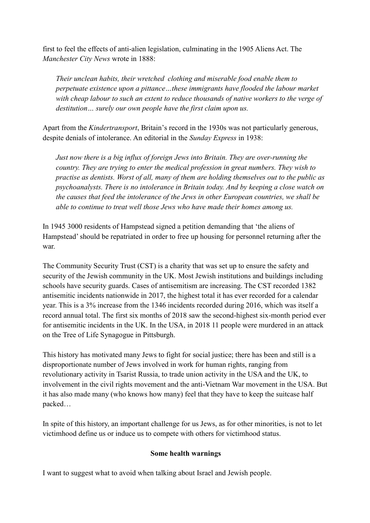first to feel the effects of anti-alien legislation, culminating in the 1905 Aliens Act. The *Manchester City News* wrote in 1888:

*Their unclean habits, their wretched clothing and miserable food enable them to perpetuate existence upon a pittance…these immigrants have flooded the labour market with cheap labour to such an extent to reduce thousands of native workers to the verge of destitution… surely our own people have the first claim upon us.* 

Apart from the *Kindertransport*, Britain's record in the 1930s was not particularly generous, despite denials of intolerance. An editorial in the *Sunday Express* in 1938:

*Just now there is a big influx of foreign Jews into Britain. They are over-running the country. They are trying to enter the medical profession in great numbers. They wish to practise as dentists. Worst of all, many of them are holding themselves out to the public as psychoanalysts. There is no intolerance in Britain today. And by keeping a close watch on the causes that feed the intolerance of the Jews in other European countries, we shall be able to continue to treat well those Jews who have made their homes among us.* 

In 1945 3000 residents of Hampstead signed a petition demanding that 'the aliens of Hampstead' should be repatriated in order to free up housing for personnel returning after the war.

The Community Security Trust (CST) is a charity that was set up to ensure the safety and security of the Jewish community in the UK. Most Jewish institutions and buildings including schools have security guards. Cases of antisemitism are increasing. The CST recorded 1382 antisemitic incidents nationwide in 2017, the highest total it has ever recorded for a calendar year. This is a 3% increase from the 1346 incidents recorded during 2016, which was itself a record annual total. The first six months of 2018 saw the second-highest six-month period ever for antisemitic incidents in the UK. In the USA, in 2018 11 people were murdered in an attack on the Tree of Life Synagogue in Pittsburgh.

This history has motivated many Jews to fight for social justice; there has been and still is a disproportionate number of Jews involved in work for human rights, ranging from revolutionary activity in Tsarist Russia, to trade union activity in the USA and the UK, to involvement in the civil rights movement and the anti-Vietnam War movement in the USA. But it has also made many (who knows how many) feel that they have to keep the suitcase half packed…

In spite of this history, an important challenge for us Jews, as for other minorities, is not to let victimhood define us or induce us to compete with others for victimhood status.

#### **Some health warnings**

I want to suggest what to avoid when talking about Israel and Jewish people.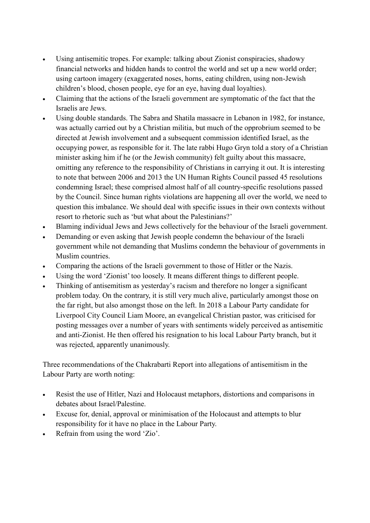- Using antisemitic tropes. For example: talking about Zionist conspiracies, shadowy financial networks and hidden hands to control the world and set up a new world order; using cartoon imagery (exaggerated noses, horns, eating children, using non-Jewish children's blood, chosen people, eye for an eye, having dual loyalties).
- Claiming that the actions of the Israeli government are symptomatic of the fact that the Israelis are Jews.
- Using double standards. The Sabra and Shatila massacre in Lebanon in 1982, for instance, was actually carried out by a Christian militia, but much of the opprobrium seemed to be directed at Jewish involvement and a subsequent commission identified Israel, as the occupying power, as responsible for it. The late rabbi Hugo Gryn told a story of a Christian minister asking him if he (or the Jewish community) felt guilty about this massacre, omitting any reference to the responsibility of Christians in carrying it out. It is interesting to note that between 2006 and 2013 the UN Human Rights Council passed 45 resolutions condemning Israel; these comprised almost half of all country-specific resolutions passed by the Council. Since human rights violations are happening all over the world, we need to question this imbalance. We should deal with specific issues in their own contexts without resort to rhetoric such as 'but what about the Palestinians?'
- Blaming individual Jews and Jews collectively for the behaviour of the Israeli government.
- Demanding or even asking that Jewish people condemn the behaviour of the Israeli government while not demanding that Muslims condemn the behaviour of governments in Muslim countries.
- Comparing the actions of the Israeli government to those of Hitler or the Nazis.
- Using the word 'Zionist' too loosely. It means different things to different people.
- Thinking of antisemitism as yesterday's racism and therefore no longer a significant problem today. On the contrary, it is still very much alive, particularly amongst those on the far right, but also amongst those on the left. In 2018 a Labour Party candidate for Liverpool City Council Liam Moore, an evangelical Christian pastor, was criticised for posting messages over a number of years with sentiments widely perceived as antisemitic and anti-Zionist. He then offered his resignation to his local Labour Party branch, but it was rejected, apparently unanimously.

Three recommendations of the Chakrabarti Report into allegations of antisemitism in the Labour Party are worth noting:

- Resist the use of Hitler, Nazi and Holocaust metaphors, distortions and comparisons in debates about Israel/Palestine.
- Excuse for, denial, approval or minimisation of the Holocaust and attempts to blur responsibility for it have no place in the Labour Party.
- Refrain from using the word 'Zio'.